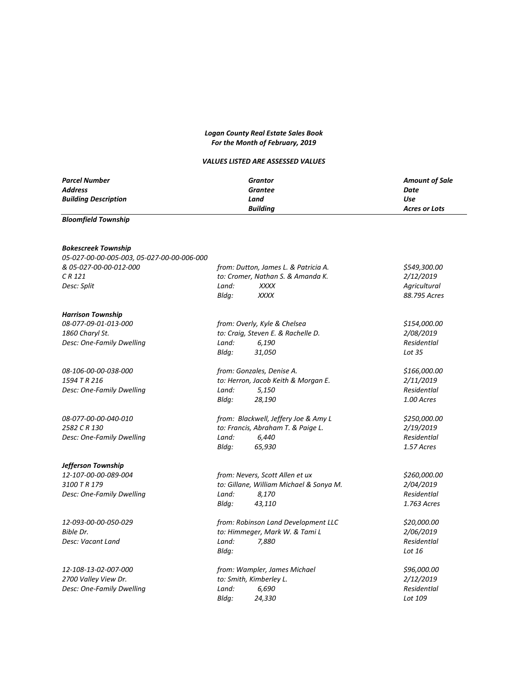## *Logan County Real Estate Sales Book For the Month of February, 2019*

## *VALUES LISTED ARE ASSESSED VALUES*

| <b>Parcel Number</b>                       | Grantor                                 |                       |  |
|--------------------------------------------|-----------------------------------------|-----------------------|--|
|                                            |                                         | <b>Amount of Sale</b> |  |
| Address                                    | <b>Grantee</b>                          | Date<br><b>Use</b>    |  |
| <b>Building Description</b>                | Land                                    |                       |  |
|                                            | <b>Building</b>                         | <b>Acres or Lots</b>  |  |
| <b>Bloomfield Township</b>                 |                                         |                       |  |
| <b>Bokescreek Township</b>                 |                                         |                       |  |
| 05-027-00-00-005-003, 05-027-00-00-006-000 |                                         |                       |  |
| & 05-027-00-00-012-000                     | from: Dutton, James L. & Patricia A.    | \$549,300.00          |  |
| $CR$ 121                                   | to: Cromer, Nathan S. & Amanda K.       | 2/12/2019             |  |
| Desc: Split                                | Land:<br><b>XXXX</b>                    | Agricultural          |  |
|                                            | Bldg:<br><b>XXXX</b>                    | 88.795 Acres          |  |
| <b>Harrison Township</b>                   |                                         |                       |  |
| 08-077-09-01-013-000                       | from: Overly, Kyle & Chelsea            | \$154,000.00          |  |
| 1860 Charyl St.                            | to: Craig, Steven E. & Rachelle D.      | 2/08/2019             |  |
| Desc: One-Family Dwelling                  | 6,190<br>Land:                          | Residentlal           |  |
|                                            | Bldg:<br>31,050                         | Lot 35                |  |
| 08-106-00-00-038-000                       | from: Gonzales, Denise A.               | \$166,000.00          |  |
| 1594 TR 216                                | to: Herron, Jacob Keith & Morgan E.     | 2/11/2019             |  |
| Desc: One-Family Dwelling                  | 5,150<br>Land:                          | Residentlal           |  |
|                                            | Bldg:<br>28,190                         | 1.00 Acres            |  |
| 08-077-00-00-040-010                       | from: Blackwell, Jeffery Joe & Amy L    | \$250,000.00          |  |
| 2582 C R 130                               | to: Francis, Abraham T. & Paige L.      | 2/19/2019             |  |
| Desc: One-Family Dwelling                  | 6,440<br>Land:                          | Residentlal           |  |
|                                            | 65,930<br>Bldg:                         | 1.57 Acres            |  |
| Jefferson Township                         |                                         |                       |  |
| 12-107-00-00-089-004                       | from: Nevers, Scott Allen et ux         | \$260,000.00          |  |
| 3100 T R 179                               | to: Gillane, William Michael & Sonya M. | 2/04/2019             |  |
| Desc: One-Family Dwelling                  | Land:<br>8,170                          | Residentlal           |  |
|                                            | Bldg:<br>43,110                         | 1.763 Acres           |  |
| 12-093-00-00-050-029                       | from: Robinson Land Development LLC     | \$20,000.00           |  |
| Bible Dr.                                  | to: Himmeger, Mark W. & Tami L          | 2/06/2019             |  |
| Desc: Vacant Land                          | Land:<br>7,880                          | Residentlal           |  |
|                                            | Bldg:                                   | Lot $16$              |  |
| 12-108-13-02-007-000                       | from: Wampler, James Michael            | \$96,000.00           |  |
| 2700 Valley View Dr.                       | to: Smith, Kimberley L.                 | 2/12/2019             |  |
| Desc: One-Family Dwelling                  | Land:<br>6,690                          | Residentlal           |  |
|                                            | Blda:<br>24,330                         | Lot 109               |  |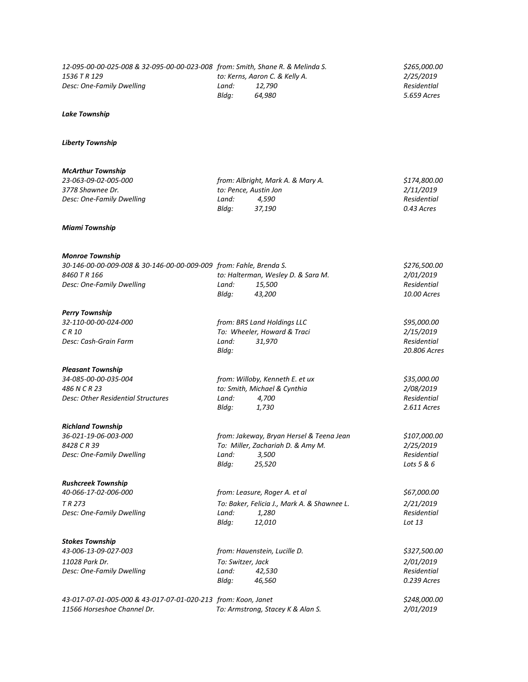| 12-095-00-00-025-008 & 32-095-00-00-023-008 from: Smith, Shane R. & Melinda S.<br>1536 T R 129 |                                   | to: Kerns, Aaron C. & Kelly A.              | \$265,000.00<br>2/25/2019   |
|------------------------------------------------------------------------------------------------|-----------------------------------|---------------------------------------------|-----------------------------|
| Desc: One-Family Dwelling                                                                      | Land:<br>Bldg:                    | 12,790<br>64,980                            | ResidentIal<br>5.659 Acres  |
| <b>Lake Township</b>                                                                           |                                   |                                             |                             |
| <b>Liberty Township</b>                                                                        |                                   |                                             |                             |
| <b>McArthur Township</b>                                                                       |                                   |                                             |                             |
| 23-063-09-02-005-000<br>3778 Shawnee Dr.                                                       |                                   | from: Albright, Mark A. & Mary A.           | \$174,800.00                |
| Desc: One-Family Dwelling                                                                      | Land:                             | to: Pence, Austin Jon<br>4,590              | 2/11/2019<br>Residential    |
|                                                                                                | Bldg:                             | 37,190                                      | 0.43 Acres                  |
| <b>Miami Township</b>                                                                          |                                   |                                             |                             |
| <b>Monroe Township</b>                                                                         |                                   |                                             |                             |
| 30-146-00-00-009-008 & 30-146-00-00-009-009 from: Fahle, Brenda S.                             |                                   |                                             | \$276,500.00                |
| 8460 T R 166                                                                                   |                                   | to: Halterman, Wesley D. & Sara M.          | 2/01/2019                   |
| Desc: One-Family Dwelling                                                                      | Land:<br>Bldg:                    | 15,500<br>43,200                            | Residential<br>10.00 Acres  |
| <b>Perry Township</b>                                                                          |                                   |                                             |                             |
| 32-110-00-00-024-000                                                                           | from: BRS Land Holdings LLC       |                                             | \$95,000.00                 |
| CR 10                                                                                          |                                   | To: Wheeler, Howard & Traci                 | 2/15/2019                   |
| Desc: Cash-Grain Farm                                                                          | Land:<br>Bldg:                    | 31,970                                      | Residential<br>20.806 Acres |
| <b>Pleasant Township</b>                                                                       |                                   |                                             |                             |
| 34-085-00-00-035-004                                                                           |                                   | from: Willoby, Kenneth E. et ux             | \$35,000.00                 |
| 486 N C R 23                                                                                   |                                   | to: Smith, Michael & Cynthia                | 2/08/2019                   |
| Desc: Other Residential Structures                                                             | Land:<br>Bldg:                    | 4,700<br>1,730                              | Residential<br>2.611 Acres  |
| <b>Richland Township</b>                                                                       |                                   |                                             |                             |
| 36-021-19-06-003-000                                                                           |                                   | from: Jakeway, Bryan Hersel & Teena Jean    | \$107,000.00                |
| 8428 C R 39                                                                                    | To: Miller, Zachariah D. & Amy M. |                                             | 2/25/2019                   |
| Desc: One-Family Dwelling                                                                      | Land:<br>Bldg:                    | 3,500<br>25,520                             | Residential<br>Lots 5 & 6   |
| <b>Rushcreek Township</b>                                                                      |                                   |                                             |                             |
| 40-066-17-02-006-000                                                                           |                                   | from: Leasure, Roger A. et al               | \$67,000.00                 |
| TR 273                                                                                         |                                   | To: Baker, Felicia J., Mark A. & Shawnee L. | 2/21/2019                   |
| Desc: One-Family Dwelling                                                                      | Land:<br>Bldg:                    | 1,280<br>12,010                             | Residential<br>Lot 13       |
| <b>Stokes Township</b>                                                                         |                                   |                                             |                             |
| 43-006-13-09-027-003                                                                           |                                   | from: Hauenstein, Lucille D.                | \$327,500.00                |
| 11028 Park Dr.                                                                                 | To: Switzer, Jack                 |                                             | 2/01/2019                   |
| Desc: One-Family Dwelling                                                                      | Land:                             | 42,530                                      | Residential                 |
|                                                                                                | Bldg:                             | 46,560                                      | 0.239 Acres                 |
| 43-017-07-01-005-000 & 43-017-07-01-020-213 from: Koon, Janet                                  |                                   |                                             | \$248,000.00                |
| 11566 Horseshoe Channel Dr.                                                                    |                                   | To: Armstrong, Stacey K & Alan S.           | 2/01/2019                   |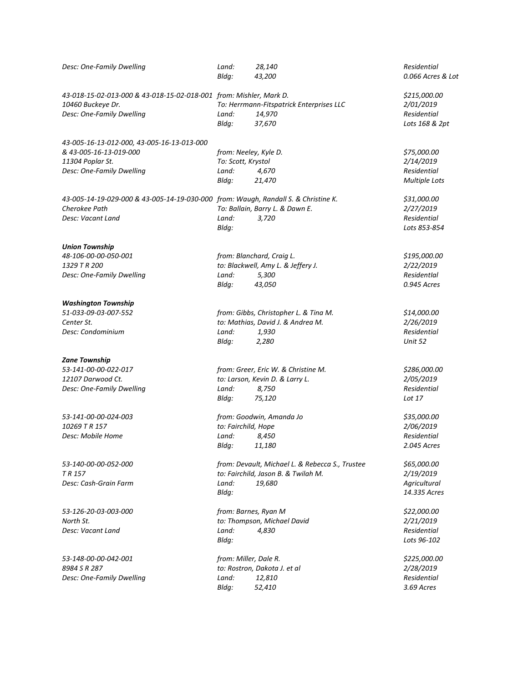| Desc: One-Family Dwelling                                                          | Land:<br>Bldg:                        | 28,140<br>43,200                                | Residential<br>0.066 Acres & Lot |
|------------------------------------------------------------------------------------|---------------------------------------|-------------------------------------------------|----------------------------------|
| 43-018-15-02-013-000 & 43-018-15-02-018-001 from: Mishler, Mark D.                 |                                       |                                                 | \$215,000.00                     |
| 10460 Buckeye Dr.                                                                  |                                       | To: Herrmann-Fitspatrick Enterprises LLC        | 2/01/2019                        |
| Desc: One-Family Dwelling                                                          | Land:                                 | 14,970                                          | Residential                      |
|                                                                                    | Bldg:                                 | 37,670                                          | Lots 168 & 2pt                   |
| 43-005-16-13-012-000, 43-005-16-13-013-000                                         |                                       |                                                 |                                  |
| & 43-005-16-13-019-000                                                             | from: Neeley, Kyle D.                 |                                                 | \$75,000.00                      |
| 11304 Poplar St.                                                                   | To: Scott, Krystol                    |                                                 | 2/14/2019                        |
| Desc: One-Family Dwelling                                                          | Land:                                 | 4,670                                           | Residential                      |
|                                                                                    | Bldg:                                 | 21,470                                          | <b>Multiple Lots</b>             |
| 43-005-14-19-029-000 & 43-005-14-19-030-000 from: Waugh, Randall S. & Christine K. |                                       |                                                 | \$31,000.00                      |
| Cherokee Path                                                                      |                                       | To: Ballain, Barry L. & Dawn E.                 | 2/27/2019                        |
| Desc: Vacant Land                                                                  | Land:                                 | 3,720                                           | Residential                      |
|                                                                                    | Bldg:                                 |                                                 | Lots 853-854                     |
| <b>Union Township</b>                                                              |                                       |                                                 |                                  |
| 48-106-00-00-050-001                                                               |                                       | from: Blanchard, Craig L.                       | \$195,000.00                     |
| 1329 T R 200                                                                       |                                       | to: Blackwell, Amy L. & Jeffery J.              | 2/22/2019                        |
| Desc: One-Family Dwelling                                                          | Land:                                 | 5,300                                           | Residentlal                      |
|                                                                                    | Bldg:                                 | 43,050                                          | 0.945 Acres                      |
| <b>Washington Township</b>                                                         |                                       |                                                 |                                  |
| 51-033-09-03-007-552                                                               | from: Gibbs, Christopher L. & Tina M. |                                                 | \$14,000.00                      |
| Center St.                                                                         |                                       | to: Mathias, David J. & Andrea M.               | 2/26/2019                        |
| Desc: Condominium                                                                  | Land:                                 | 1,930                                           | Residential                      |
|                                                                                    | Bldg:                                 | 2,280                                           | Unit 52                          |
| <b>Zane Township</b>                                                               |                                       |                                                 |                                  |
| 53-141-00-00-022-017                                                               |                                       | from: Greer, Eric W. & Christine M.             | \$286,000.00                     |
| 12107 Darwood Ct.                                                                  |                                       | to: Larson, Kevin D. & Larry L.                 | 2/05/2019                        |
| Desc: One-Family Dwelling                                                          | Land:                                 | 8,750                                           | Residential                      |
|                                                                                    | Bldg:                                 | 75,120                                          | Lot 17                           |
| 53-141-00-00-024-003                                                               |                                       | from: Goodwin, Amanda Jo                        | \$35,000.00                      |
| 10269 T R 157                                                                      | to: Fairchild, Hope                   |                                                 | 2/06/2019                        |
| Desc: Mobile Home                                                                  | Land:                                 | 8,450                                           | Residential                      |
|                                                                                    | Blda:                                 | 11,180                                          | 2.045 Acres                      |
| 53-140-00-00-052-000                                                               |                                       | from: Devault, Michael L. & Rebecca S., Trustee | \$65,000.00                      |
| T R 157                                                                            |                                       | to: Fairchild, Jason B. & Twilah M.             | 2/19/2019                        |
| Desc: Cash-Grain Farm                                                              | Land:                                 | 19,680                                          | Agricultural                     |
|                                                                                    | Bldg:                                 |                                                 | 14.335 Acres                     |
| 53-126-20-03-003-000                                                               |                                       | from: Barnes, Ryan M                            | \$22,000.00                      |
| North St.                                                                          |                                       | to: Thompson, Michael David                     | 2/21/2019                        |
| Desc: Vacant Land                                                                  | Land:                                 | 4,830                                           | Residential                      |
|                                                                                    | Bldq:                                 |                                                 | Lots 96-102                      |
| 53-148-00-00-042-001                                                               | from: Miller, Dale R.                 |                                                 | \$225,000.00                     |
| 8984 S R 287                                                                       |                                       | to: Rostron, Dakota J. et al                    | 2/28/2019                        |
| Desc: One-Family Dwelling                                                          | Land:                                 | 12,810                                          | Residential                      |
|                                                                                    | Bldg:                                 | 52,410                                          | 3.69 Acres                       |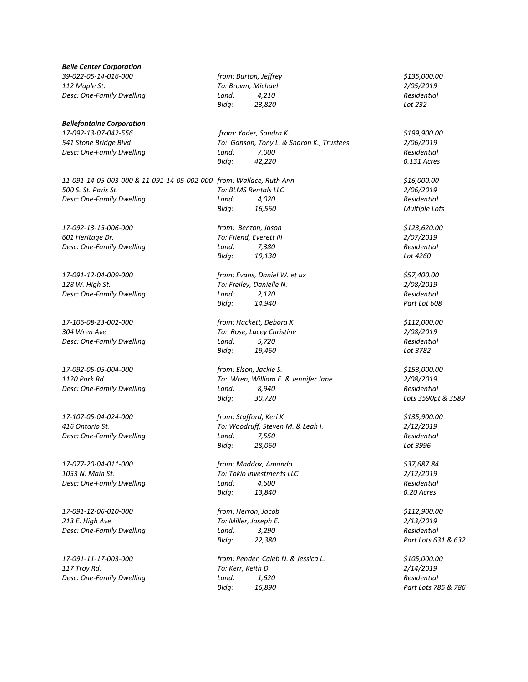| <b>Belle Center Corporation</b>                                     |                                           |                                      |                      |
|---------------------------------------------------------------------|-------------------------------------------|--------------------------------------|----------------------|
| 39-022-05-14-016-000                                                |                                           | from: Burton, Jeffrey                | \$135,000.00         |
| 112 Maple St.                                                       |                                           | To: Brown, Michael                   | 2/05/2019            |
| Desc: One-Family Dwelling                                           | Land:                                     | 4,210                                | Residential          |
|                                                                     | Bldg:                                     | 23,820                               | Lot 232              |
| <b>Bellefontaine Corporation</b>                                    |                                           |                                      |                      |
| 17-092-13-07-042-556                                                |                                           | from: Yoder, Sandra K.               | \$199,900.00         |
| 541 Stone Bridge Blvd                                               | To: Ganson, Tony L. & Sharon K., Trustees |                                      | 2/06/2019            |
| Desc: One-Family Dwelling                                           | Land:                                     | 7,000                                | <b>Residential</b>   |
|                                                                     | Bldg:                                     | 42,220                               | 0.131 Acres          |
| 11-091-14-05-003-000 & 11-091-14-05-002-000 from: Wallace, Ruth Ann |                                           |                                      | \$16,000.00          |
| 500 S. St. Paris St.                                                |                                           | To: BLMS Rentals LLC                 | 2/06/2019            |
| Desc: One-Family Dwelling                                           | Land:                                     | 4,020                                | Residential          |
|                                                                     | Bldg:                                     | 16,560                               | <b>Multiple Lots</b> |
| 17-092-13-15-006-000                                                |                                           | from: Benton, Jason                  | \$123,620.00         |
| 601 Heritage Dr.                                                    |                                           | To: Friend, Everett III              | 2/07/2019            |
| Desc: One-Family Dwelling                                           | Land:                                     | 7,380                                | Residential          |
|                                                                     | Bldq:                                     | 19,130                               | Lot 4260             |
| 17-091-12-04-009-000                                                |                                           | from: Evans, Daniel W. et ux         | \$57,400.00          |
| 128 W. High St.                                                     |                                           | To: Freiley, Danielle N.             | 2/08/2019            |
| Desc: One-Family Dwelling                                           | Land:                                     | 2,120                                | Residential          |
|                                                                     | Bldg:                                     | 14,940                               | Part Lot 608         |
| 17-106-08-23-002-000                                                | from: Hackett, Debora K.                  |                                      | \$112,000.00         |
| 304 Wren Ave.                                                       | To: Rose, Lacey Christine                 |                                      | 2/08/2019            |
| Desc: One-Family Dwelling                                           | Land:                                     | 5,720                                | Residential          |
|                                                                     | Bldg:                                     | 19,460                               | Lot 3782             |
| 17-092-05-05-004-000                                                |                                           | from: Elson, Jackie S.               | \$153,000.00         |
| 1120 Park Rd.                                                       |                                           | To: Wren, William E. & Jennifer Jane | 2/08/2019            |
| Desc: One-Family Dwelling                                           | Land:                                     | 8,940                                | Residential          |
|                                                                     | Bldg:                                     | 30,720                               | Lots 3590pt & 3589   |
| 17-107-05-04-024-000                                                |                                           | from: Stafford, Keri K.              | \$135,900.00         |
| 416 Ontario St.                                                     |                                           | To: Woodruff, Steven M. & Leah I.    | 2/12/2019            |
| Desc: One-Family Dwelling                                           | Land:                                     | 7,550                                | <b>Residential</b>   |
|                                                                     | Bldg:                                     | 28,060                               | Lot 3996             |
| 17-077-20-04-011-000                                                |                                           | from: Maddox, Amanda                 | \$37,687.84          |
| 1053 N. Main St.                                                    |                                           | To: Tokio Investments LLC            | 2/12/2019            |
| Desc: One-Family Dwelling                                           | Land:                                     | 4,600                                | Residential          |
|                                                                     | Bldg:                                     | 13,840                               | 0.20 Acres           |
| 17-091-12-06-010-000                                                | from: Herron, Jacob                       |                                      | \$112,900.00         |
| 213 E. High Ave.                                                    |                                           | To: Miller, Joseph E.                | 2/13/2019            |
| Desc: One-Family Dwelling                                           | Land:                                     | 3,290                                | Residential          |
|                                                                     | Bldg:                                     | 22,380                               | Part Lots 631 & 632  |
| 17-091-11-17-003-000                                                |                                           | from: Pender, Caleb N. & Jessica L.  | \$105,000.00         |
| 117 Troy Rd.                                                        | To: Kerr, Keith D.                        |                                      | 2/14/2019            |
| Desc: One-Family Dwelling                                           | Land:                                     | 1,620                                | Residential          |
|                                                                     | Bldg:                                     | 16,890                               | Part Lots 785 & 786  |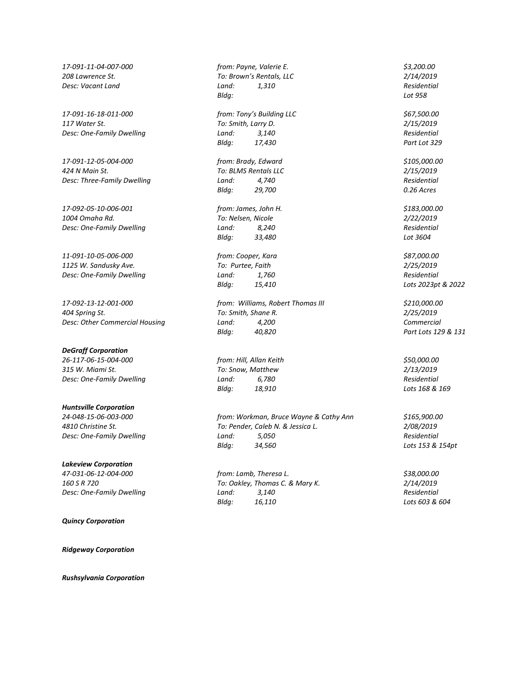*17-091-16-18-011-000 from: Tony's Building LLC \$67,500.00 117 Water St. To: Smith, Larry D. 2/15/2019 Desc: One-Family Dwelling Land: 3,140* 

*17-091-12-05-004-000 from: Brady, Edward \$105,000.00 424 N Main St. To: BLMS Rentals LLC 2/15/2019*

*17-092-05-10-006-001 from: James, John H. \$183,000.00 1004 Omaha Rd. To: Nelsen, Nicole 2/22/2019*

*11-091-10-05-006-000 from: Cooper, Kara \$87,000.00 1125 W. Sandusky Ave. To: Purtee, Faith 2/25/2019 Desc: One-Family Dwelling Land: 1,760 Residential*

*17-092-13-12-001-000 from: Williams, Robert Thomas III \$210,000.00 404 Spring St. To: Smith, Shane R. 2/25/2019*

## *DeGraff Corporation*

*26-117-06-15-004-000 from: Hill, Allan Keith \$50,000.00 315 W. Miami St. To: Snow, Matthew 2/13/2019 Desc: One-Family Dwelling Land: 6,780 Residential*

*Huntsville Corporation*

## *Lakeview Corporation*

*Quincy Corporation*

*Ridgeway Corporation*

*Rushsylvania Corporation*

*17-091-11-04-007-000 from: Payne, Valerie E. \$3,200.00 208 Lawrence St. To: Brown's Rentals, LLC 2/14/2019 Desc: Vacant Land Land: 1,310 Residential Bldg: Lot 958*

*Bldg: 17,430 Part Lot 329*

*Desc: Three-Family Dwelling Land:*  $4,740$  *Residential Residential Residential Bldg:* 29,700 *O.26 Acres Bldg: 29,700 0.26 Acres*

*Desc: One-Family Dwelling Land: 8,240 Residential Bldg: 33,480 Lot 3604*

*Desc: Other Commercial Housing Land: 4,200 Commercial Bldg: 40,820 Part Lots 129 & 131*

*Bldg: 18,910 Lots 168 & 169*

*24-048-15-06-003-000 from: Workman, Bruce Wayne & Cathy Ann \$165,900.00 4810 Christine St. To: Pender, Caleb N. & Jessica L. 2/08/2019 Desc: One-Family Dwelling Land: 5,050 Residential Bldg: 34,560 Lots 153 & 154pt*

*47-031-06-12-004-000 from: Lamb, Theresa L. \$38,000.00 160 S R 720 To: Oakley, Thomas C. & Mary K. 2/14/2019 Desc: One-Family Dwelling Land: 3,140 Residential Bldg: 16,110 Lots 603 & 604*

*Bldg: 15,410 Lots 2023pt & 2022*